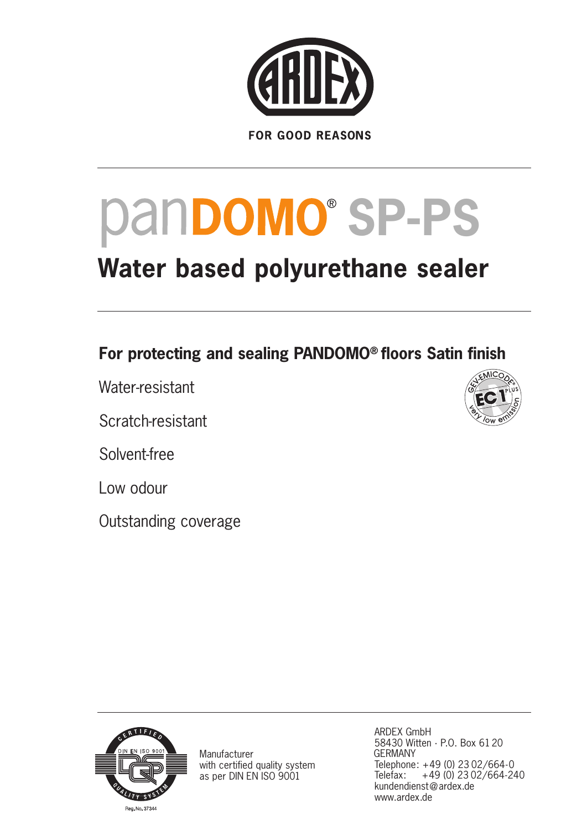

# pan**DOMO**® SP-PS

# **Water based polyurethane sealer**

### **For protecting and sealing PANDOMO® floors Satin finish**

Water-resistant

Scratch-resistant

Solvent-free

Low odour

Outstanding coverage





Manufacturer with certified quality system as per DIN EN ISO 9001

ARDEX GmbH 58430 Witten · P.O. Box 6120 GERMANY Telephone: +49 (0) 23 02/664-0 Telefax: +49 (0) 23 02/664-240 kundendienst@ardex.de www.ardex.de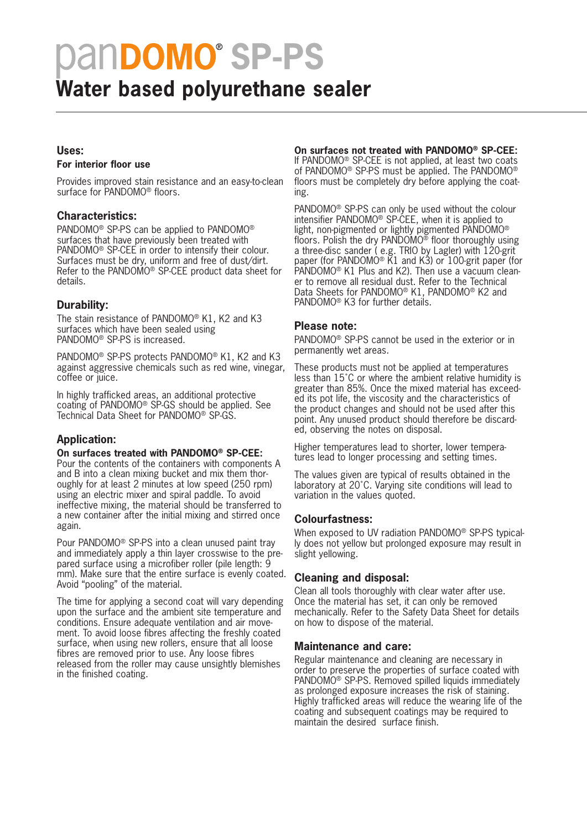# pan**DOMO**® SP-PS

## **Water based polyurethane sealer**

#### **Uses:**

#### **For interior floor use**

Provides improved stain resistance and an easy-to-clean surface for PANDOMO<sup>®</sup> floors.

#### **Characteristics:**

PANDOMO® SP-PS can be applied to PANDOMO® surfaces that have previously been treated with PANDOMO® SP-CEE in order to intensify their colour. Surfaces must be dry, uniform and free of dust/dirt. Refer to the PANDOMO® SP-CEE product data sheet for details.

#### **Durability:**

The stain resistance of PANDOMO® K1, K2 and K3 surfaces which have been sealed using PANDOMO® SP-PS is increased.

PANDOMO® SP-PS protects PANDOMO® K1, K2 and K3 against aggressive chemicals such as red wine, vinegar, coffee or juice.

In highly trafficked areas, an additional protective coating of PANDOMO® SP-GS should be applied. See Technical Data Sheet for PANDOMO® SP-GS.

#### **Application:**

#### **On surfaces treated with PANDOMO® SP-CEE:**

Pour the contents of the containers with components A and B into a clean mixing bucket and mix them thoroughly for at least 2 minutes at low speed (250 rpm) using an electric mixer and spiral paddle. To avoid ineffective mixing, the material should be transferred to a new container after the initial mixing and stirred once again.

Pour PANDOMO® SP-PS into a clean unused paint tray and immediately apply a thin layer crosswise to the prepared surface using a microfiber roller (pile length: 9 mm). Make sure that the entire surface is evenly coated. Avoid "pooling" of the material.

The time for applying a second coat will vary depending upon the surface and the ambient site temperature and conditions. Ensure adequate ventilation and air movement. To avoid loose fibres affecting the freshly coated surface, when using new rollers, ensure that all loose fibres are removed prior to use. Any loose fibres released from the roller may cause unsightly blemishes in the finished coating.

#### **On surfaces not treated with PANDOMO® SP-CEE:**

If PANDOMO® SP-CEE is not applied, at least two coats of PANDOMO® SP-PS must be applied. The PANDOMO® floors must be completely dry before applying the coating.

PANDOMO® SP-PS can only be used without the colour intensifier PANDOMO® SP-CEE, when it is applied to light, non-pigmented or lightly pigmented PANDOMO® floors. Polish the dry  $PANDOMO^{\circled{0}}$  floor thoroughly using a three-disc sander ( e.g. TRIO by Lagler) with 120-grit paper (for PANDOMO® K1 and K3) or 100-grit paper (for PANDOMO® K1 Plus and K2). Then use a vacuum cleaner to remove all residual dust. Refer to the Technical Data Sheets for PANDOMO® K1, PANDOMO® K2 and PANDOMO® K3 for further details.

#### **Please note:**

PANDOMO® SP-PS cannot be used in the exterior or in permanently wet areas.

These products must not be applied at temperatures less than 15˚C or where the ambient relative humidity is greater than 85%. Once the mixed material has exceeded its pot life, the viscosity and the characteristics of the product changes and should not be used after this point. Any unused product should therefore be discarded, observing the notes on disposal.

Higher temperatures lead to shorter, lower temperatures lead to longer processing and setting times.

The values given are typical of results obtained in the laboratory at 20˚C. Varying site conditions will lead to variation in the values quoted.

#### **Colourfastness:**

When exposed to UV radiation PANDOMO® SP-PS typically does not yellow but prolonged exposure may result in slight yellowing.

#### **Cleaning and disposal:**

Clean all tools thoroughly with clear water after use. Once the material has set, it can only be removed mechanically. Refer to the Safety Data Sheet for details on how to dispose of the material.

#### **Maintenance and care:**

Regular maintenance and cleaning are necessary in order to preserve the properties of surface coated with PANDOMO® SP-PS. Removed spilled liquids immediately as prolonged exposure increases the risk of staining. Highly trafficked areas will reduce the wearing life of the coating and subsequent coatings may be required to maintain the desired surface finish.